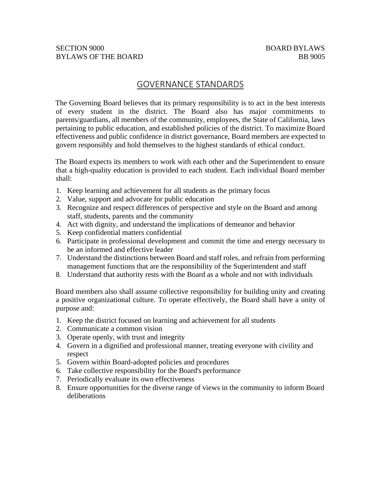## GOVERNANCE STANDARDS

The Governing Board believes that its primary responsibility is to act in the best interests of every student in the district. The Board also has major commitments to parents/guardians, all members of the community, employees, the State of California, laws pertaining to public education, and established policies of the district. To maximize Board effectiveness and public confidence in district governance, Board members are expected to govern responsibly and hold themselves to the highest standards of ethical conduct.

The Board expects its members to work with each other and the Superintendent to ensure that a high-quality education is provided to each student. Each individual Board member shall:

- 1. Keep learning and achievement for all students as the primary focus
- 2. Value, support and advocate for public education
- 3. Recognize and respect differences of perspective and style on the Board and among staff, students, parents and the community
- 4. Act with dignity, and understand the implications of demeanor and behavior
- 5. Keep confidential matters confidential
- 6. Participate in professional development and commit the time and energy necessary to be an informed and effective leader
- 7. Understand the distinctions between Board and staff roles, and refrain from performing management functions that are the responsibility of the Superintendent and staff
- 8. Understand that authority rests with the Board as a whole and not with individuals

Board members also shall assume collective responsibility for building unity and creating a positive organizational culture. To operate effectively, the Board shall have a unity of purpose and:

- 1. Keep the district focused on learning and achievement for all students
- 2. Communicate a common vision
- 3. Operate openly, with trust and integrity
- 4. Govern in a dignified and professional manner, treating everyone with civility and respect
- 5. Govern within Board-adopted policies and procedures
- 6. Take collective responsibility for the Board's performance
- 7. Periodically evaluate its own effectiveness
- 8. Ensure opportunities for the diverse range of views in the community to inform Board deliberations